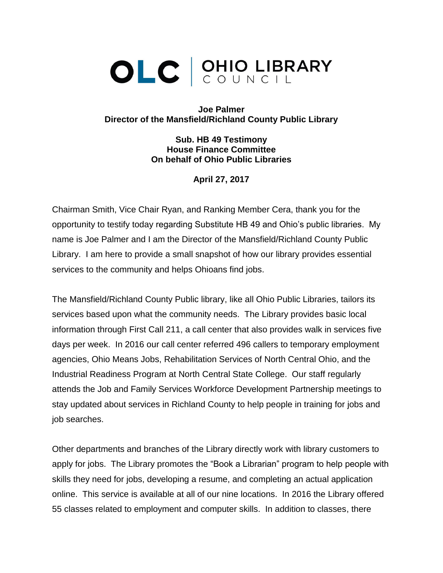## OLC CUNCIL

**Joe Palmer Director of the Mansfield/Richland County Public Library**

> **Sub. HB 49 Testimony House Finance Committee On behalf of Ohio Public Libraries**

> > **April 27, 2017**

Chairman Smith, Vice Chair Ryan, and Ranking Member Cera, thank you for the opportunity to testify today regarding Substitute HB 49 and Ohio's public libraries. My name is Joe Palmer and I am the Director of the Mansfield/Richland County Public Library. I am here to provide a small snapshot of how our library provides essential services to the community and helps Ohioans find jobs.

The Mansfield/Richland County Public library, like all Ohio Public Libraries, tailors its services based upon what the community needs. The Library provides basic local information through First Call 211, a call center that also provides walk in services five days per week. In 2016 our call center referred 496 callers to temporary employment agencies, Ohio Means Jobs, Rehabilitation Services of North Central Ohio, and the Industrial Readiness Program at North Central State College. Our staff regularly attends the Job and Family Services Workforce Development Partnership meetings to stay updated about services in Richland County to help people in training for jobs and job searches.

Other departments and branches of the Library directly work with library customers to apply for jobs. The Library promotes the "Book a Librarian" program to help people with skills they need for jobs, developing a resume, and completing an actual application online. This service is available at all of our nine locations. In 2016 the Library offered 55 classes related to employment and computer skills. In addition to classes, there